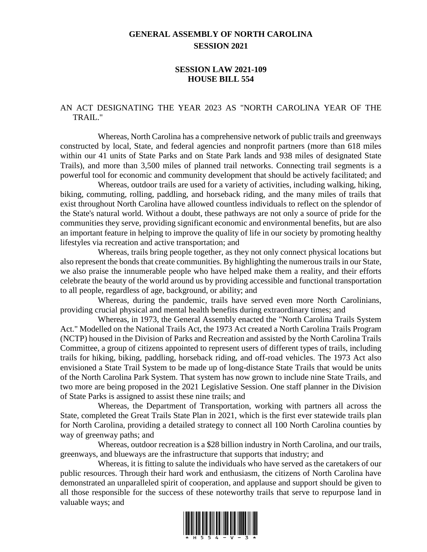## **GENERAL ASSEMBLY OF NORTH CAROLINA SESSION 2021**

## **SESSION LAW 2021-109 HOUSE BILL 554**

## AN ACT DESIGNATING THE YEAR 2023 AS "NORTH CAROLINA YEAR OF THE TRAIL."

Whereas, North Carolina has a comprehensive network of public trails and greenways constructed by local, State, and federal agencies and nonprofit partners (more than 618 miles within our 41 units of State Parks and on State Park lands and 938 miles of designated State Trails), and more than 3,500 miles of planned trail networks. Connecting trail segments is a powerful tool for economic and community development that should be actively facilitated; and

Whereas, outdoor trails are used for a variety of activities, including walking, hiking, biking, commuting, rolling, paddling, and horseback riding, and the many miles of trails that exist throughout North Carolina have allowed countless individuals to reflect on the splendor of the State's natural world. Without a doubt, these pathways are not only a source of pride for the communities they serve, providing significant economic and environmental benefits, but are also an important feature in helping to improve the quality of life in our society by promoting healthy lifestyles via recreation and active transportation; and

Whereas, trails bring people together, as they not only connect physical locations but also represent the bonds that create communities. By highlighting the numerous trails in our State, we also praise the innumerable people who have helped make them a reality, and their efforts celebrate the beauty of the world around us by providing accessible and functional transportation to all people, regardless of age, background, or ability; and

Whereas, during the pandemic, trails have served even more North Carolinians, providing crucial physical and mental health benefits during extraordinary times; and

Whereas, in 1973, the General Assembly enacted the "North Carolina Trails System Act." Modelled on the National Trails Act, the 1973 Act created a North Carolina Trails Program (NCTP) housed in the Division of Parks and Recreation and assisted by the North Carolina Trails Committee, a group of citizens appointed to represent users of different types of trails, including trails for hiking, biking, paddling, horseback riding, and off-road vehicles. The 1973 Act also envisioned a State Trail System to be made up of long-distance State Trails that would be units of the North Carolina Park System. That system has now grown to include nine State Trails, and two more are being proposed in the 2021 Legislative Session. One staff planner in the Division of State Parks is assigned to assist these nine trails; and

Whereas, the Department of Transportation, working with partners all across the State, completed the Great Trails State Plan in 2021, which is the first ever statewide trails plan for North Carolina, providing a detailed strategy to connect all 100 North Carolina counties by way of greenway paths; and

Whereas, outdoor recreation is a \$28 billion industry in North Carolina, and our trails, greenways, and blueways are the infrastructure that supports that industry; and

Whereas, it is fitting to salute the individuals who have served as the caretakers of our public resources. Through their hard work and enthusiasm, the citizens of North Carolina have demonstrated an unparalleled spirit of cooperation, and applause and support should be given to all those responsible for the success of these noteworthy trails that serve to repurpose land in valuable ways; and